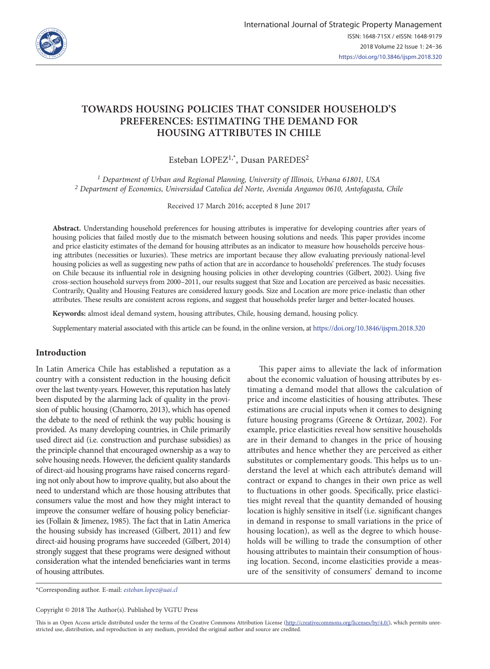

# **TOWARDS HOUSING POLICIES THAT CONSIDER HOUSEHOLD'S PREFERENCES: ESTIMATING THE DEMAND FOR HOUSING ATTRIBUTES IN CHILE**

Esteban LOPEZ1,\*, Dusan PAREDES2

*1 Department of Urban and Regional Planning, University of Illinois, Urbana 61801, USA 2 Department of Economics, Universidad Catolica del Norte, Avenida Angamos 0610, Antofagasta, Chile*

Received 17 March 2016; accepted 8 June 2017

**Abstract.** Understanding household preferences for housing attributes is imperative for developing countries after years of housing policies that failed mostly due to the mismatch between housing solutions and needs. This paper provides income and price elasticity estimates of the demand for housing attributes as an indicator to measure how households perceive housing attributes (necessities or luxuries). These metrics are important because they allow evaluating previously national-level housing policies as well as suggesting new paths of action that are in accordance to households' preferences. The study focuses on Chile because its influential role in designing housing policies in other developing countries (Gilbert, 2002). Using five cross-section household surveys from 2000–2011, our results suggest that Size and Location are perceived as basic necessities. Contrarily, Quality and Housing Features are considered luxury goods. Size and Location are more price-inelastic than other attributes. These results are consistent across regions, and suggest that households prefer larger and better-located houses.

**Keywords:** almost ideal demand system, housing attributes, Chile, housing demand, housing policy.

Supplementary material associated with this article can be found, in the online version, at https://doi.org/10.3846/ijspm.2018.320

# **Introduction**

In Latin America Chile has established a reputation as a country with a consistent reduction in the housing deficit over the last twenty-years. However, this reputation has lately been disputed by the alarming lack of quality in the provision of public housing (Chamorro, 2013), which has opened the debate to the need of rethink the way public housing is provided. As many developing countries, in Chile primarily used direct aid (i.e. construction and purchase subsidies) as the principle channel that encouraged ownership as a way to solve housing needs. However, the deficient quality standards of direct-aid housing programs have raised concerns regarding not only about how to improve quality, but also about the need to understand which are those housing attributes that consumers value the most and how they might interact to improve the consumer welfare of housing policy beneficiaries (Follain & Jimenez, 1985). The fact that in Latin America the housing subsidy has increased (Gilbert, 2011) and few direct-aid housing programs have succeeded (Gilbert, 2014) strongly suggest that these programs were designed without consideration what the intended beneficiaries want in terms of housing attributes.

This paper aims to alleviate the lack of information about the economic valuation of housing attributes by estimating a demand model that allows the calculation of price and income elasticities of housing attributes. These estimations are crucial inputs when it comes to designing future housing programs (Greene & Ortúzar, 2002). For example, price elasticities reveal how sensitive households are in their demand to changes in the price of housing attributes and hence whether they are perceived as either substitutes or complementary goods. This helps us to understand the level at which each attribute's demand will contract or expand to changes in their own price as well to fluctuations in other goods. Specifically, price elasticities might reveal that the quantity demanded of housing location is highly sensitive in itself (i.e. significant changes in demand in response to small variations in the price of housing location), as well as the degree to which households will be willing to trade the consumption of other housing attributes to maintain their consumption of housing location. Second, income elasticities provide a measure of the sensitivity of consumers' demand to income

\*Corresponding author. E-mail: *esteban.lopez@uai.cl*

Copyright © 2018 The Author(s). Published by VGTU Press

This is an Open Access article distributed under the terms of the Creative Commons Attribution License (http://creativecommons.org/licenses/by/4.0/), which permits unrestricted use, distribution, and reproduction in any medium, provided the original author and source are credited.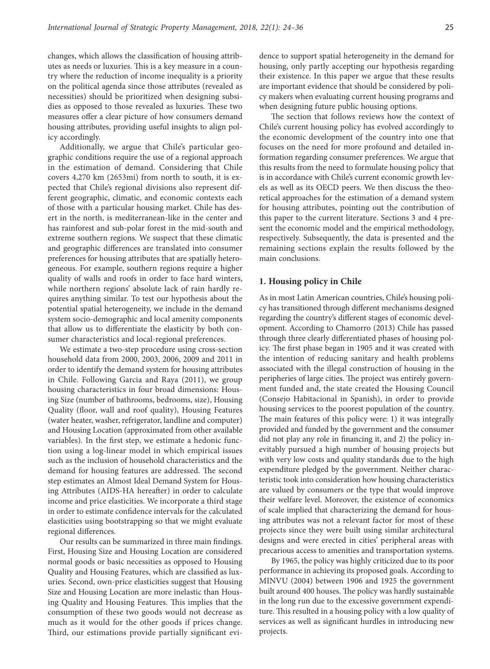changes, which allows the classification of housing attributes as needs or luxuries. This is a key measure in a country where the reduction of income inequality is a priority on the political agenda since those attributes (revealed as necessities) should be prioritized when designing subsidies as opposed to those revealed as luxuries. These two measures offer a clear picture of how consumers demand housing attributes, providing useful insights to align policy accordingly.

Additionally, we argue that Chile's particular geographic conditions require the use of a regional approach in the estimation of demand. Considering that Chile covers 4,270 km (2653mi) from north to south, it is expected that Chile's regional divisions also represent different geographic, climatic, and economic contexts each of those with a particular housing market. Chile has desert in the north, is mediterranean-like in the center and has rainforest and sub-polar forest in the mid-south and extreme southern regions. We suspect that these climatic and geographic differences are translated into consumer preferences for housing attributes that are spatially heterogeneous. For example, southern regions require a higher quality of walls and roofs in order to face hard winters, while northern regions' absolute lack of rain hardly requires anything similar. To test our hypothesis about the potential spatial heterogeneity, we include in the demand system socio-demographic and local amenity components that allow us to differentiate the elasticity by both consumer characteristics and local-regional preferences.

We estimate a two-step procedure using cross-section household data from 2000, 2003, 2006, 2009 and 2011 in order to identify the demand system for housing attributes in Chile. Following Garcia and Raya (2011), we group housing characteristics in four broad dimensions: Housing Size (number of bathrooms, bedrooms, size), Housing Quality (floor, wall and roof quality), Housing Features (water heater, washer, refrigerator, landline and computer) and Housing Location (approximated from other available variables). In the first step, we estimate a hedonic function using a log-linear model in which empirical issues such as the inclusion of household characteristics and the demand for housing features are addressed. The second step estimates an Almost Ideal Demand System for Housing Attributes (AIDS-HA hereafter) in order to calculate income and price elasticities. We incorporate a third stage in order to estimate confidence intervals for the calculated elasticities using bootstrapping so that we might evaluate regional differences.

Our results can be summarized in three main findings. First, Housing Size and Housing Location are considered normal goods or basic necessities as opposed to Housing Quality and Housing Features, which are classified as luxuries. Second, own-price elasticities suggest that Housing Size and Housing Location are more inelastic than Housing Quality and Housing Features. This implies that the consumption of these two goods would not decrease as much as it would for the other goods if prices change. Third, our estimations provide partially significant evidence to support spatial heterogeneity in the demand for housing, only partly accepting our hypothesis regarding their existence. In this paper we argue that these results are important evidence that should be considered by policy makers when evaluating current housing programs and when designing future public housing options.

The section that follows reviews how the context of Chile's current housing policy has evolved accordingly to the economic development of the country into one that focuses on the need for more profound and detailed information regarding consumer preferences. We argue that this results from the need to formulate housing policy that is in accordance with Chile's current economic growth levels as well as its OECD peers. We then discuss the theoretical approaches for the estimation of a demand system for housing attributes, pointing out the contribution of this paper to the current literature. Sections 3 and 4 present the economic model and the empirical methodology, respectively. Subsequently, the data is presented and the remaining sections explain the results followed by the main conclusions.

# **1. Housing policy in Chile**

As in most Latin American countries, Chile's housing policy has transitioned through different mechanisms designed regarding the country's different stages of economic development. According to Chamorro (2013) Chile has passed through three clearly differentiated phases of housing policy. The first phase began in 1905 and it was created with the intention of reducing sanitary and health problems associated with the illegal construction of housing in the peripheries of large cities. The project was entirely government funded and, the state created the Housing Council (Consejo Habitacional in Spanish), in order to provide housing services to the poorest population of the country. The main features of this policy were: 1) it was integrally provided and funded by the government and the consumer did not play any role in financing it, and 2) the policy inevitably pursued a high number of housing projects but with very low costs and quality standards due to the high expenditure pledged by the government. Neither characteristic took into consideration how housing characteristics are valued by consumers or the type that would improve their welfare level. Moreover, the existence of economics of scale implied that characterizing the demand for housing attributes was not a relevant factor for most of these projects since they were built using similar architectural designs and were erected in cities' peripheral areas with precarious access to amenities and transportation systems.

By 1965, the policy was highly criticized due to its poor performance in achieving its proposed goals. According to MINVU (2004) between 1906 and 1925 the government built around 400 houses. The policy was hardly sustainable in the long run due to the excessive government expenditure. This resulted in a housing policy with a low quality of services as well as significant hurdles in introducing new projects.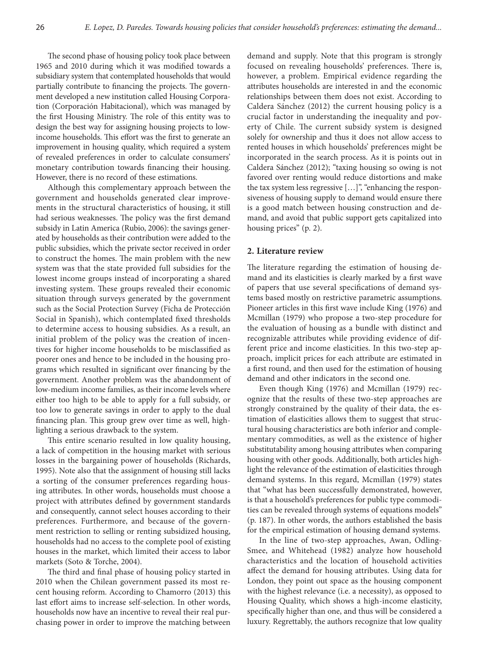The second phase of housing policy took place between 1965 and 2010 during which it was modified towards a subsidiary system that contemplated households that would partially contribute to financing the projects. The government developed a new institution called Housing Corporation (Corporación Habitacional), which was managed by the first Housing Ministry. The role of this entity was to design the best way for assigning housing projects to lowincome households. This effort was the first to generate an improvement in housing quality, which required a system of revealed preferences in order to calculate consumers' monetary contribution towards financing their housing. However, there is no record of these estimations.

Although this complementary approach between the government and households generated clear improvements in the structural characteristics of housing, it still had serious weaknesses. The policy was the first demand subsidy in Latin America (Rubio, 2006): the savings generated by households as their contribution were added to the public subsidies, which the private sector received in order to construct the homes. The main problem with the new system was that the state provided full subsidies for the lowest income groups instead of incorporating a shared investing system. These groups revealed their economic situation through surveys generated by the government such as the Social Protection Survey (Ficha de Protección Social in Spanish), which contemplated fixed thresholds to determine access to housing subsidies. As a result, an initial problem of the policy was the creation of incentives for higher income households to be misclassified as poorer ones and hence to be included in the housing programs which resulted in significant over financing by the government. Another problem was the abandonment of low-medium income families, as their income levels where either too high to be able to apply for a full subsidy, or too low to generate savings in order to apply to the dual financing plan. This group grew over time as well, highlighting a serious drawback to the system.

This entire scenario resulted in low quality housing, a lack of competition in the housing market with serious losses in the bargaining power of households (Richards, 1995). Note also that the assignment of housing still lacks a sorting of the consumer preferences regarding housing attributes. In other words, households must choose a project with attributes defined by government standards and consequently, cannot select houses according to their preferences. Furthermore, and because of the government restriction to selling or renting subsidized housing, households had no access to the complete pool of existing houses in the market, which limited their access to labor markets (Soto & Torche, 2004).

The third and final phase of housing policy started in 2010 when the Chilean government passed its most recent housing reform. According to Chamorro (2013) this last effort aims to increase self-selection. In other words, households now have an incentive to reveal their real purchasing power in order to improve the matching between

demand and supply. Note that this program is strongly focused on revealing households' preferences. There is, however, a problem. Empirical evidence regarding the attributes households are interested in and the economic relationships between them does not exist. According to Caldera Sánchez (2012) the current housing policy is a crucial factor in understanding the inequality and poverty of Chile. The current subsidy system is designed solely for ownership and thus it does not allow access to rented houses in which households' preferences might be incorporated in the search process. As it is points out in Caldera Sánchez (2012); "taxing housing so owing is not favored over renting would reduce distortions and make the tax system less regressive […]", "enhancing the responsiveness of housing supply to demand would ensure there is a good match between housing construction and demand, and avoid that public support gets capitalized into housing prices" (p. 2).

# **2. Literature review**

The literature regarding the estimation of housing demand and its elasticities is clearly marked by a first wave of papers that use several specifications of demand systems based mostly on restrictive parametric assumptions. Pioneer articles in this first wave include King (1976) and Mcmillan (1979) who propose a two-step procedure for the evaluation of housing as a bundle with distinct and recognizable attributes while providing evidence of different price and income elasticities. In this two-step approach, implicit prices for each attribute are estimated in a first round, and then used for the estimation of housing demand and other indicators in the second one.

Even though King (1976) and Mcmillan (1979) recognize that the results of these two-step approaches are strongly constrained by the quality of their data, the estimation of elasticities allows them to suggest that structural housing characteristics are both inferior and complementary commodities, as well as the existence of higher substitutability among housing attributes when comparing housing with other goods. Additionally, both articles highlight the relevance of the estimation of elasticities through demand systems. In this regard, Mcmillan (1979) states that "what has been successfully demonstrated, however, is that a household's preferences for public type commodities can be revealed through systems of equations models" (p. 187). In other words, the authors established the basis for the empirical estimation of housing demand systems.

In the line of two-step approaches, Awan, Odling-Smee, and Whitehead (1982) analyze how household characteristics and the location of household activities affect the demand for housing attributes. Using data for London, they point out space as the housing component with the highest relevance (i.e. a necessity), as opposed to Housing Quality, which shows a high-income elasticity, specifically higher than one, and thus will be considered a luxury. Regrettably, the authors recognize that low quality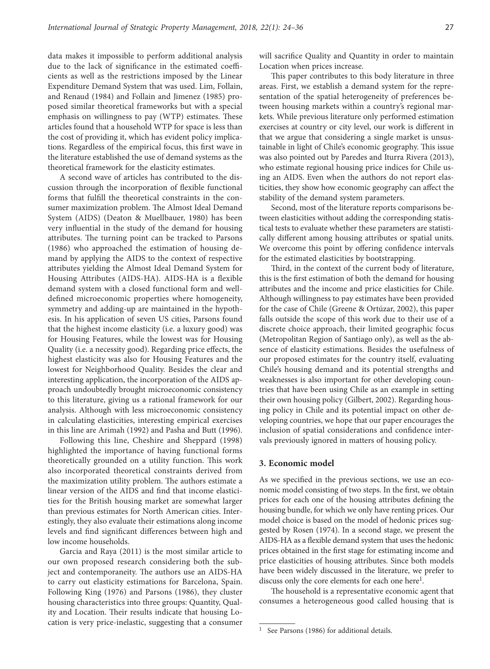data makes it impossible to perform additional analysis due to the lack of significance in the estimated coefficients as well as the restrictions imposed by the Linear Expenditure Demand System that was used. Lim, Follain, and Renaud (1984) and Follain and Jimenez (1985) proposed similar theoretical frameworks but with a special emphasis on willingness to pay (WTP) estimates. These articles found that a household WTP for space is less than the cost of providing it, which has evident policy implications. Regardless of the empirical focus, this first wave in the literature established the use of demand systems as the theoretical framework for the elasticity estimates.

A second wave of articles has contributed to the discussion through the incorporation of flexible functional forms that fulfill the theoretical constraints in the consumer maximization problem. The Almost Ideal Demand System (AIDS) (Deaton & Muellbauer, 1980) has been very influential in the study of the demand for housing attributes. The turning point can be tracked to Parsons (1986) who approached the estimation of housing demand by applying the AIDS to the context of respective attributes yielding the Almost Ideal Demand System for Housing Attributes (AIDS-HA). AIDS-HA is a flexible demand system with a closed functional form and welldefined microeconomic properties where homogeneity, symmetry and adding-up are maintained in the hypothesis. In his application of seven US cities, Parsons found that the highest income elasticity (i.e. a luxury good) was for Housing Features, while the lowest was for Housing Quality (i.e. a necessity good). Regarding price effects, the highest elasticity was also for Housing Features and the lowest for Neighborhood Quality. Besides the clear and interesting application, the incorporation of the AIDS approach undoubtedly brought microeconomic consistency to this literature, giving us a rational framework for our analysis. Although with less microeconomic consistency in calculating elasticities, interesting empirical exercises in this line are Arimah (1992) and Pasha and Butt (1996).

Following this line, Cheshire and Sheppard (1998) highlighted the importance of having functional forms theoretically grounded on a utility function. This work also incorporated theoretical constraints derived from the maximization utility problem. The authors estimate a linear version of the AIDS and find that income elasticities for the British housing market are somewhat larger than previous estimates for North American cities. Interestingly, they also evaluate their estimations along income levels and find significant differences between high and low income households.

Garcia and Raya (2011) is the most similar article to our own proposed research considering both the subject and contemporaneity. The authors use an AIDS-HA to carry out elasticity estimations for Barcelona, Spain. Following King (1976) and Parsons (1986), they cluster housing characteristics into three groups: Quantity, Quality and Location. Their results indicate that housing Location is very price-inelastic, suggesting that a consumer will sacrifice Quality and Quantity in order to maintain Location when prices increase.

This paper contributes to this body literature in three areas. First, we establish a demand system for the representation of the spatial heterogeneity of preferences between housing markets within a country's regional markets. While previous literature only performed estimation exercises at country or city level, our work is different in that we argue that considering a single market is unsustainable in light of Chile's economic geography. This issue was also pointed out by Paredes and Iturra Rivera (2013), who estimate regional housing price indices for Chile using an AIDS. Even when the authors do not report elasticities, they show how economic geography can affect the stability of the demand system parameters.

Second, most of the literature reports comparisons between elasticities without adding the corresponding statistical tests to evaluate whether these parameters are statistically different among housing attributes or spatial units. We overcome this point by offering confidence intervals for the estimated elasticities by bootstrapping.

Third, in the context of the current body of literature, this is the first estimation of both the demand for housing attributes and the income and price elasticities for Chile. Although willingness to pay estimates have been provided for the case of Chile (Greene & Ortúzar, 2002), this paper falls outside the scope of this work due to their use of a discrete choice approach, their limited geographic focus (Metropolitan Region of Santiago only), as well as the absence of elasticity estimations. Besides the usefulness of our proposed estimates for the country itself, evaluating Chile's housing demand and its potential strengths and weaknesses is also important for other developing countries that have been using Chile as an example in setting their own housing policy (Gilbert, 2002). Regarding housing policy in Chile and its potential impact on other developing countries, we hope that our paper encourages the inclusion of spatial considerations and confidence intervals previously ignored in matters of housing policy.

#### **3. Economic model**

As we specified in the previous sections, we use an economic model consisting of two steps. In the first, we obtain prices for each one of the housing attributes defining the housing bundle, for which we only have renting prices. Our model choice is based on the model of hedonic prices suggested by Rosen (1974). In a second stage, we present the AIDS-HA as a flexible demand system that uses the hedonic prices obtained in the first stage for estimating income and price elasticities of housing attributes. Since both models have been widely discussed in the literature, we prefer to discuss only the core elements for each one here<sup>1</sup>.

The household is a representative economic agent that consumes a heterogeneous good called housing that is

<sup>&</sup>lt;sup>1</sup> See Parsons (1986) for additional details.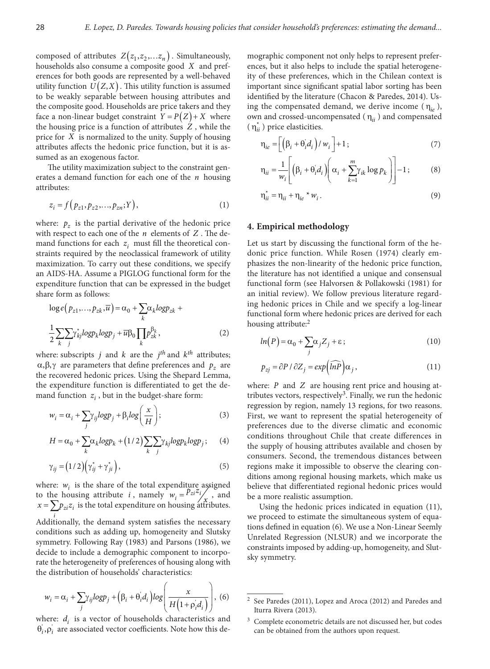composed of attributes  $Z(z_1, z_2, \ldots z_n)$ . Simultaneously, households also consume a composite good *X* and preferences for both goods are represented by a well-behaved utility function  $U(Z, X)$ . This utility function is assumed to be weakly separable between housing attributes and the composite good. Households are price takers and they face a non-linear budget constraint  $Y = P(Z) + X$  where the housing price is a function of attributes *Z* , while the price for *X* is normalized to the unity. Supply of housing attributes affects the hedonic price function, but it is assumed as an exogenous factor.

The utility maximization subject to the constraint generates a demand function for each one of the *n* housing attributes:

$$
z_i = f(p_{z1}, p_{z2}, \dots, p_{zn}; Y), \tag{1}
$$

where:  $p_z$  is the partial derivative of the hedonic price with respect to each one of the *n* elements of *Z* . The demand functions for each  $z_i$  must fill the theoretical constraints required by the neoclassical framework of utility maximization. To carry out these conditions, we specify an AIDS-HA. Assume a PIGLOG functional form for the expenditure function that can be expressed in the budget share form as follows:

$$
\log e(p_{z1},...,p_{zk},\overline{u}) = \alpha_0 + \sum_k \alpha_k \log p_{zk} + \frac{1}{2} \sum_k \sum_j \gamma_{kj}^i \log p_k \log p_j + \overline{u} \beta_0 \prod_k p_{zk}^{\beta_k},
$$
\n(2)

where: subscripts *j* and *k* are the *j*<sup>th</sup> and  $k$ <sup>th</sup> attributes; α, β, γ are parameters that define preferences and  $p_z$  are the recovered hedonic prices. Using the Shepard Lemma, the expenditure function is differentiated to get the demand function  $z_i$ , but in the budget-share form:

$$
w_i = \alpha_i + \sum_j \gamma_{ij} log p_j + \beta_i log \left( \frac{x}{H} \right); \tag{3}
$$

$$
H = \alpha_0 + \sum_{k} \alpha_k \log p_k + (1/2) \sum_{k} \sum_{j} \gamma_{kj} \log p_k \log p_j; \qquad (4)
$$

$$
\gamma_{ij} = (1/2) \left( \gamma_{ij}^* + \gamma_{ji}^* \right),\tag{5}
$$

where:  $w_i$  is the share of the total expenditure assigned to the housing attribute *i*, namely  $w_i = \frac{P_{zi}z_i}{r}$ , and  $x = \sum p_{zi} z_i$  is the total expenditure on housing attributes.

*i* Additionally, the demand system satisfies the necessary conditions such as adding up, homogeneity and Slutsky symmetry. Following Ray (1983) and Parsons (1986), we decide to include a demographic component to incorporate the heterogeneity of preferences of housing along with the distribution of households' characteristics:

$$
w_i = \alpha_i + \sum_j \gamma_{ij} log p_j + (\beta_i + \theta_i d_i) log \left( \frac{x}{H(1 + \rho_i d_i)} \right),
$$
 (6)

where:  $d_i$  is a vector of households characteristics and  $\theta_i$ ,  $\rho_i$  are associated vector coefficients. Note how this demographic component not only helps to represent preferences, but it also helps to include the spatial heterogeneity of these preferences, which in the Chilean context is important since significant spatial labor sorting has been identified by the literature (Chacon & Paredes, 2014). Using the compensated demand, we derive income  $(\eta_{ie})$ , own and crossed-uncompensated ( η*ii* ) and compensated  $(\eta_{ii}^*)$  price elasticities.

$$
\eta_{ie} = \left[ \left( \beta_i + \theta_i d_i \right) / w_i \right] + 1; \tag{7}
$$

$$
\eta_{ii} = \frac{1}{w_i} \left[ \left( \beta_i + \theta'_i d_i \right) \left( \alpha_i + \sum_{k=1}^m \gamma_{ik} \log p_k \right) \right] - 1; \tag{8}
$$

$$
\eta_{ii}^* = \eta_{ii} + \eta_{ie} * w_i. \tag{9}
$$

# **4. Empirical methodology**

Let us start by discussing the functional form of the hedonic price function. While Rosen (1974) clearly emphasizes the non-linearity of the hedonic price function, the literature has not identified a unique and consensual functional form (see Halvorsen & Pollakowski (1981) for an initial review). We follow previous literature regarding hedonic prices in Chile and we specify a log-linear functional form where hedonic prices are derived for each housing attribute:<sup>2</sup>

$$
ln(P) = \alpha_0 + \sum_j \alpha_j Z_j + \varepsilon \tag{10}
$$

$$
p_{zj} = \partial P / \partial Z_j = exp\left(\widehat{lnP}\right)\alpha_j, \qquad (11)
$$

where: *P* and *Z* are housing rent price and housing attributes vectors, respectively<sup>3</sup>. Finally, we run the hedonic regression by region, namely 13 regions, for two reasons. First, we want to represent the spatial heterogeneity of preferences due to the diverse climatic and economic conditions throughout Chile that create differences in the supply of housing attributes available and chosen by consumers. Second, the tremendous distances between regions make it impossible to observe the clearing conditions among regional housing markets, which make us believe that differentiated regional hedonic prices would be a more realistic assumption.

Using the hedonic prices indicated in equation (11), we proceed to estimate the simultaneous system of equations defined in equation (6). We use a Non-Linear Seemly Unrelated Regression (NLSUR) and we incorporate the constraints imposed by adding-up, homogeneity, and Slutsky symmetry.

<sup>2</sup> See Paredes (2011), Lopez and Aroca (2012) and Paredes and Iturra Rivera (2013).

<sup>3</sup> Complete econometric details are not discussed her, but codes can be obtained from the authors upon request.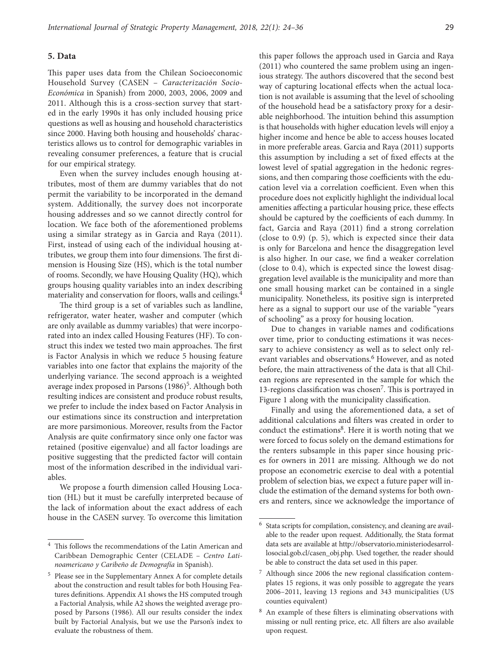#### **5. Data**

This paper uses data from the Chilean Socioeconomic Household Survey (CASEN – *Caracterización Socio-Económica* in Spanish) from 2000, 2003, 2006, 2009 and 2011. Although this is a cross-section survey that started in the early 1990s it has only included housing price questions as well as housing and household characteristics since 2000. Having both housing and households' characteristics allows us to control for demographic variables in revealing consumer preferences, a feature that is crucial for our empirical strategy.

Even when the survey includes enough housing attributes, most of them are dummy variables that do not permit the variability to be incorporated in the demand system. Additionally, the survey does not incorporate housing addresses and so we cannot directly control for location. We face both of the aforementioned problems using a similar strategy as in Garcia and Raya (2011). First, instead of using each of the individual housing attributes, we group them into four dimensions. The first dimension is Housing Size (HS), which is the total number of rooms. Secondly, we have Housing Quality (HQ), which groups housing quality variables into an index describing materiality and conservation for floors, walls and ceilings.4

The third group is a set of variables such as landline, refrigerator, water heater, washer and computer (which are only available as dummy variables) that were incorporated into an index called Housing Features (HF). To construct this index we tested two main approaches. The first is Factor Analysis in which we reduce 5 housing feature variables into one factor that explains the majority of the underlying variance. The second approach is a weighted average index proposed in Parsons (1986)<sup>5</sup>. Although both resulting indices are consistent and produce robust results, we prefer to include the index based on Factor Analysis in our estimations since its construction and interpretation are more parsimonious. Moreover, results from the Factor Analysis are quite confirmatory since only one factor was retained (positive eigenvalue) and all factor loadings are positive suggesting that the predicted factor will contain most of the information described in the individual variables.

We propose a fourth dimension called Housing Location (HL) but it must be carefully interpreted because of the lack of information about the exact address of each house in the CASEN survey. To overcome this limitation

this paper follows the approach used in Garcia and Raya (2011) who countered the same problem using an ingenious strategy. The authors discovered that the second best way of capturing locational effects when the actual location is not available is assuming that the level of schooling of the household head be a satisfactory proxy for a desirable neighborhood. The intuition behind this assumption is that households with higher education levels will enjoy a higher income and hence be able to access houses located in more preferable areas. Garcia and Raya (2011) supports this assumption by including a set of fixed effects at the lowest level of spatial aggregation in the hedonic regressions, and then comparing those coefficients with the education level via a correlation coefficient. Even when this procedure does not explicitly highlight the individual local amenities affecting a particular housing price, these effects should be captured by the coefficients of each dummy. In fact, Garcia and Raya (2011) find a strong correlation (close to 0.9) (p. 5), which is expected since their data is only for Barcelona and hence the disaggregation level is also higher. In our case, we find a weaker correlation (close to 0.4), which is expected since the lowest disaggregation level available is the municipality and more than one small housing market can be contained in a single municipality. Nonetheless, its positive sign is interpreted here as a signal to support our use of the variable "years of schooling" as a proxy for housing location.

Due to changes in variable names and codifications over time, prior to conducting estimations it was necessary to achieve consistency as well as to select only relevant variables and observations.<sup>6</sup> However, and as noted before, the main attractiveness of the data is that all Chilean regions are represented in the sample for which the 13-regions classification was chosen<sup>7</sup>. This is portrayed in Figure 1 along with the municipality classification.

Finally and using the aforementioned data, a set of additional calculations and filters was created in order to conduct the estimations<sup>8</sup>. Here it is worth noting that we were forced to focus solely on the demand estimations for the renters subsample in this paper since housing prices for owners in 2011 are missing. Although we do not propose an econometric exercise to deal with a potential problem of selection bias, we expect a future paper will include the estimation of the demand systems for both owners and renters, since we acknowledge the importance of

 $^4\,$  This follows the recommendations of the Latin American and Caribbean Demographic Center (CELADE – *Centro Latinoamericano y Caribeño de Demografía* in Spanish).

<sup>5</sup> Please see in the Supplementary Annex A for complete details about the construction and result tables for both Housing Features definitions. Appendix A1 shows the HS computed trough a Factorial Analysis, while A2 shows the weighted average proposed by Parsons (1986). All our results consider the index built by Factorial Analysis, but we use the Parson's index to evaluate the robustness of them.

<sup>6</sup> Stata scripts for compilation, consistency, and cleaning are available to the reader upon request. Additionally, the Stata format data sets are available at http://observatorio.ministeriodesarrollosocial.gob.cl/casen\_obj.php. Used together, the reader should be able to construct the data set used in this paper.

<sup>7</sup> Although since 2006 the new regional classification contemplates 15 regions, it was only possible to aggregate the years 2006–2011, leaving 13 regions and 343 municipalities (US counties equivalent)

<sup>8</sup> An example of these filters is eliminating observations with missing or null renting price, etc. All filters are also available upon request.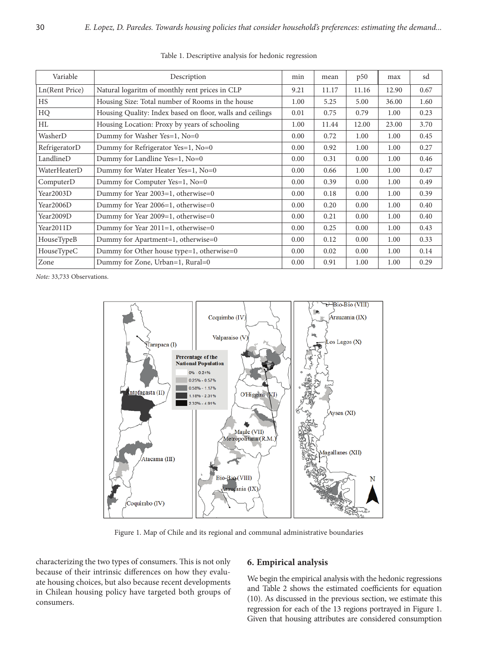| Variable       | Description                                               | min  | mean  | p50   | max   | sd   |
|----------------|-----------------------------------------------------------|------|-------|-------|-------|------|
| Ln(Rent Price) | Natural logaritm of monthly rent prices in CLP            | 9.21 | 11.17 | 11.16 | 12.90 | 0.67 |
| HS             | Housing Size: Total number of Rooms in the house          | 1.00 | 5.25  | 5.00  | 36.00 | 1.60 |
| HQ             | Housing Quality: Index based on floor, walls and ceilings | 0.01 | 0.75  | 0.79  | 1.00  | 0.23 |
| HL             | Housing Location: Proxy by years of schooling             | 1.00 | 11.44 | 12.00 | 23.00 | 3.70 |
| WasherD        | Dummy for Washer Yes=1, No=0                              | 0.00 | 0.72  | 1.00  | 1.00  | 0.45 |
| RefrigeratorD  | Dummy for Refrigerator Yes=1, No=0                        | 0.00 | 0.92  | 1.00  | 1.00  | 0.27 |
| LandlineD      | Dummy for Landline Yes=1, No=0                            |      | 0.31  | 0.00  | 1.00  | 0.46 |
| WaterHeaterD   | Dummy for Water Heater Yes=1, No=0                        |      | 0.66  | 1.00  | 1.00  | 0.47 |
| ComputerD      | Dummy for Computer Yes=1, No=0                            |      | 0.39  | 0.00  | 1.00  | 0.49 |
| Year2003D      | Dummy for Year 2003=1, otherwise=0                        | 0.00 | 0.18  | 0.00  | 1.00  | 0.39 |
| Year2006D      | Dummy for Year 2006=1, otherwise=0                        | 0.00 | 0.20  | 0.00  | 1.00  | 0.40 |
| Year2009D      | Dummy for Year 2009=1, otherwise=0                        |      | 0.21  | 0.00  | 1.00  | 0.40 |
| Year2011D      | Dummy for Year $2011=1$ , otherwise=0                     |      | 0.25  | 0.00  | 1.00  | 0.43 |
| HouseTypeB     | Dummy for Apartment=1, otherwise=0                        |      | 0.12  | 0.00  | 1.00  | 0.33 |
| HouseTypeC     | Dummy for Other house type=1, otherwise=0                 |      | 0.02  | 0.00  | 1.00  | 0.14 |
| Zone           | Dummy for Zone, Urban=1, Rural=0                          | 0.00 | 0.91  | 1.00  | 1.00  | 0.29 |

Table 1. Descriptive analysis for hedonic regression

*Note:* 33,733 Observations.



Figure 1. Map of Chile and its regional and communal administrative boundaries

characterizing the two types of consumers. This is not only because of their intrinsic differences on how they evaluate housing choices, but also because recent developments in Chilean housing policy have targeted both groups of consumers.

# **6. Empirical analysis**

We begin the empirical analysis with the hedonic regressions and Table 2 shows the estimated coefficients for equation (10). As discussed in the previous section, we estimate this regression for each of the 13 regions portrayed in Figure 1. Given that housing attributes are considered consumption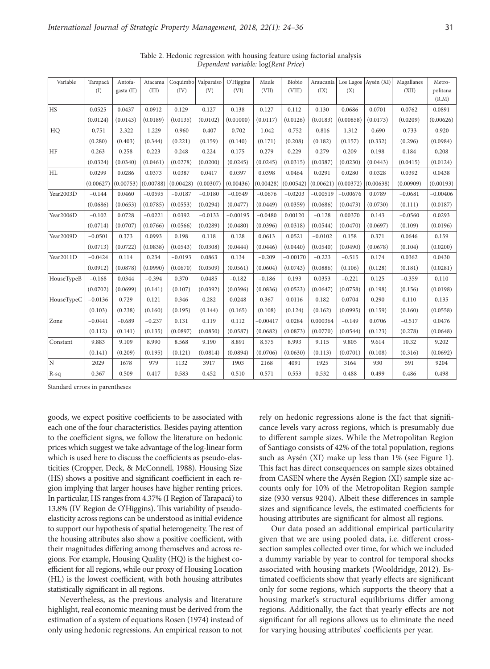| Variable   | Tarapacá  | Antofa-    | Atacama   | Coquimbo  | Valparaiso | O'Higgins  | Maule      | Biobio     | Araucanía  |            | Los Lagos Aysén (XI) | Magallanes | Metro-     |
|------------|-----------|------------|-----------|-----------|------------|------------|------------|------------|------------|------------|----------------------|------------|------------|
|            | (I)       | gasta (II) | (III)     | (IV)      | (V)        | (VI)       | (VII)      | (VIII)     | (IX)       | (X)        |                      | (XII)      | politana   |
|            |           |            |           |           |            |            |            |            |            |            |                      |            | (R.M)      |
| <b>HS</b>  | 0.0525    | 0.0437     | 0.0912    | 0.129     | 0.127      | 0.138      | 0.127      | 0.112      | 0.130      | 0.0686     | 0.0701               | 0.0762     | 0.0891     |
|            | (0.0124)  | (0.0143)   | (0.0189)  | (0.0135)  | (0.0102)   | (0.01000)  | (0.0117)   | (0.0126)   | (0.0183)   | (0.00858)  | (0.0173)             | (0.0209)   | (0.00626)  |
| HO         | 0.751     | 2.322      | 1.229     | 0.960     | 0.407      | 0.702      | 1.042      | 0.752      | 0.816      | 1.312      | 0.690                | 0.733      | 0.920      |
|            | (0.280)   | (0.403)    | (0.344)   | (0.221)   | (0.159)    | (0.140)    | (0.171)    | (0.208)    | (0.182)    | (0.157)    | (0.332)              | (0.296)    | (0.0984)   |
| HF         | 0.263     | 0.258      | 0.223     | 0.248     | 0.224      | 0.175      | 0.279      | 0.229      | 0.279      | 0.209      | 0.198                | 0.184      | 0.208      |
|            | (0.0324)  | (0.0340)   | (0.0461)  | (0.0278)  | (0.0200)   | (0.0245)   | (0.0245)   | (0.0315)   | (0.0387)   | (0.0230)   | (0.0443)             | (0.0415)   | (0.0124)   |
| HL         | 0.0299    | 0.0286     | 0.0373    | 0.0387    | 0.0417     | 0.0397     | 0.0398     | 0.0464     | 0.0291     | 0.0280     | 0.0328               | 0.0392     | 0.0438     |
|            | (0.00627) | (0.00753)  | (0.00788) | (0.00428) | (0.00307)  | (0.00436)  | (0.00428)  | (0.00542)  | (0.00621)  | (0.00372)  | (0.00638)            | (0.00909)  | (0.00193)  |
| Year2003D  | $-0.144$  | 0.0460     | $-0.0595$ | $-0.0187$ | $-0.0180$  | $-0.0549$  | $-0.0676$  | $-0.0203$  | $-0.00519$ | $-0.00676$ | 0.0789               | $-0.0681$  | $-0.00406$ |
|            | (0.0686)  | (0.0653)   | (0.0785)  | (0.0553)  | (0.0294)   | (0.0477)   | (0.0449)   | (0.0359)   | (0.0686)   | (0.0473)   | (0.0730)             | (0.111)    | (0.0187)   |
| Year2006D  | $-0.102$  | 0.0728     | $-0.0221$ | 0.0392    | $-0.0133$  | $-0.00195$ | $-0.0480$  | 0.00120    | $-0.128$   | 0.00370    | 0.143                | $-0.0560$  | 0.0293     |
|            | (0.0714)  | (0.0707)   | (0.0766)  | (0.0566)  | (0.0289)   | (0.0480)   | (0.0396)   | (0.0318)   | (0.0544)   | (0.0470)   | (0.0697)             | (0.109)    | (0.0196)   |
| Year2009D  | $-0.0501$ | 0.373      | 0.0993    | 0.198     | 0.118      | 0.128      | 0.0613     | 0.0521     | $-0.0102$  | 0.158      | 0.371                | 0.0646     | 0.159      |
|            | (0.0713)  | (0.0722)   | (0.0838)  | (0.0543)  | (0.0308)   | (0.0444)   | (0.0446)   | (0.0440)   | (0.0540)   | (0.0490)   | (0.0678)             | (0.104)    | (0.0200)   |
| Year2011D  | $-0.0424$ | 0.114      | 0.234     | $-0.0193$ | 0.0863     | 0.134      | $-0.209$   | $-0.00170$ | $-0.223$   | $-0.515$   | 0.174                | 0.0362     | 0.0430     |
|            | (0.0912)  | (0.0878)   | (0.0990)  | (0.0670)  | (0.0509)   | (0.0561)   | (0.0604)   | (0.0743)   | (0.0886)   | (0.106)    | (0.128)              | (0.181)    | (0.0281)   |
| HouseTypeB | $-0.168$  | 0.0344     | $-0.394$  | 0.370     | 0.0485     | $-0.182$   | $-0.186$   | 0.193      | 0.0353     | $-0.221$   | 0.125                | $-0.359$   | 0.110      |
|            | (0.0702)  | (0.0699)   | (0.141)   | (0.107)   | (0.0392)   | (0.0396)   | (0.0836)   | (0.0523)   | (0.0647)   | (0.0758)   | (0.198)              | (0.156)    | (0.0198)   |
| HouseTypeC | $-0.0136$ | 0.729      | 0.121     | 0.346     | 0.282      | 0.0248     | 0.367      | 0.0116     | 0.182      | 0.0704     | 0.290                | 0.110      | 0.135      |
|            | (0.103)   | (0.238)    | (0.160)   | (0.195)   | (0.144)    | (0.165)    | (0.108)    | (0.124)    | (0.162)    | (0.0995)   | (0.159)              | (0.160)    | (0.0558)   |
| Zone       | $-0.0441$ | $-0.689$   | $-0.237$  | 0.131     | 0.119      | 0.112      | $-0.00417$ | 0.0284     | 0.000364   | $-0.149$   | 0.0706               | $-0.517$   | 0.0476     |
|            | (0.112)   | (0.141)    | (0.135)   | (0.0897)  | (0.0850)   | (0.0587)   | (0.0682)   | (0.0873)   | (0.0770)   | (0.0544)   | (0.123)              | (0.278)    | (0.0648)   |
| Constant   | 9.883     | 9.109      | 8.990     | 8.568     | 9.190      | 8.891      | 8.575      | 8.993      | 9.115      | 9.805      | 9.614                | 10.32      | 9.202      |
|            | (0.141)   | (0.209)    | (0.195)   | (0.121)   | (0.0814)   | (0.0894)   | (0.0706)   | (0.0630)   | (0.113)    | (0.0701)   | (0.108)              | (0.316)    | (0.0692)   |
| ΙN.        | 2029      | 1678       | 979       | 1132      | 3917       | 1903       | 2168       | 4091       | 1925       | 3164       | 930                  | 591        | 9204       |
| $R-sq$     | 0.367     | 0.509      | 0.417     | 0.583     | 0.452      | 0.510      | 0.571      | 0.553      | 0.532      | 0.488      | 0.499                | 0.486      | 0.498      |

Table 2. Hedonic regression with housing feature using factorial analysis *Dependent variable:* log(*Rent Price*)

Standard errors in parentheses

goods, we expect positive coefficients to be associated with each one of the four characteristics. Besides paying attention to the coefficient signs, we follow the literature on hedonic prices which suggest we take advantage of the log-linear form which is used here to discuss the coefficients as pseudo-elasticities (Cropper, Deck, & McConnell, 1988). Housing Size (HS) shows a positive and significant coefficient in each region implying that larger houses have higher renting prices. In particular, HS ranges from 4.37% (I Region of Tarapacá) to 13.8% (IV Region de O'Higgins). This variability of pseudoelasticity across regions can be understood as initial evidence to support our hypothesis of spatial heterogeneity. The rest of the housing attributes also show a positive coefficient, with their magnitudes differing among themselves and across regions. For example, Housing Quality (HQ) is the highest coefficient for all regions, while our proxy of Housing Location (HL) is the lowest coefficient, with both housing attributes statistically significant in all regions.

Nevertheless, as the previous analysis and literature highlight, real economic meaning must be derived from the estimation of a system of equations Rosen (1974) instead of only using hedonic regressions. An empirical reason to not rely on hedonic regressions alone is the fact that significance levels vary across regions, which is presumably due to different sample sizes. While the Metropolitan Region of Santiago consists of 42% of the total population, regions such as Aysén (XI) make up less than 1% (see Figure 1). This fact has direct consequences on sample sizes obtained from CASEN where the Aysén Region (XI) sample size accounts only for 10% of the Metropolitan Region sample size (930 versus 9204). Albeit these differences in sample sizes and significance levels, the estimated coefficients for housing attributes are significant for almost all regions.

Our data posed an additional empirical particularity given that we are using pooled data, i.e. different crosssection samples collected over time, for which we included a dummy variable by year to control for temporal shocks associated with housing markets (Wooldridge, 2012). Estimated coefficients show that yearly effects are significant only for some regions, which supports the theory that a housing market's structural equilibriums differ among regions. Additionally, the fact that yearly effects are not significant for all regions allows us to eliminate the need for varying housing attributes' coefficients per year.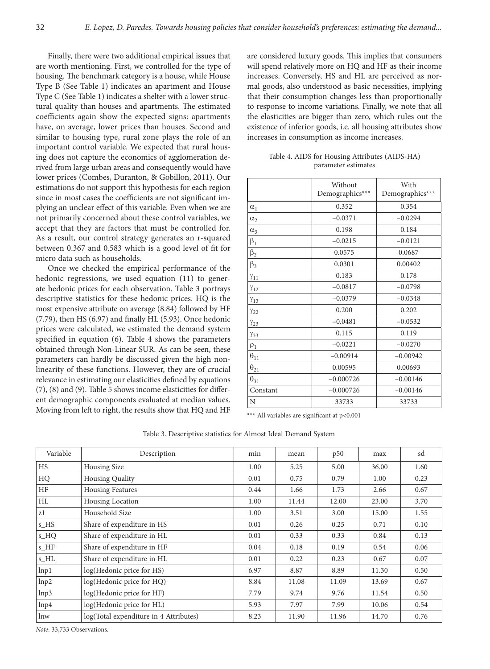Finally, there were two additional empirical issues that are worth mentioning. First, we controlled for the type of housing. The benchmark category is a house, while House Type B (See Table 1) indicates an apartment and House Type C (See Table 1) indicates a shelter with a lower structural quality than houses and apartments. The estimated coefficients again show the expected signs: apartments have, on average, lower prices than houses. Second and similar to housing type, rural zone plays the role of an important control variable. We expected that rural housing does not capture the economics of agglomeration derived from large urban areas and consequently would have lower prices (Combes, Duranton, & Gobillon, 2011). Our estimations do not support this hypothesis for each region since in most cases the coefficients are not significant implying an unclear effect of this variable. Even when we are not primarily concerned about these control variables, we accept that they are factors that must be controlled for. As a result, our control strategy generates an r-squared between 0.367 and 0.583 which is a good level of fit for micro data such as households.

Once we checked the empirical performance of the hedonic regressions, we used equation (11) to generate hedonic prices for each observation. Table 3 portrays descriptive statistics for these hedonic prices. HQ is the most expensive attribute on average (8.84) followed by HF (7.79), then HS (6.97) and finally HL (5.93). Once hedonic prices were calculated, we estimated the demand system specified in equation (6). Table 4 shows the parameters obtained through Non-Linear SUR. As can be seen, these parameters can hardly be discussed given the high nonlinearity of these functions. However, they are of crucial relevance in estimating our elasticities defined by equations (7), (8) and (9). Table 5 shows income elasticities for different demographic components evaluated at median values. Moving from left to right, the results show that HQ and HF

are considered luxury goods. This implies that consumers will spend relatively more on HQ and HF as their income increases. Conversely, HS and HL are perceived as normal goods, also understood as basic necessities, implying that their consumption changes less than proportionally to response to income variations. Finally, we note that all the elasticities are bigger than zero, which rules out the existence of inferior goods, i.e. all housing attributes show increases in consumption as income increases.

Table 4. AIDS for Housing Attributes (AIDS-HA) parameter estimates

|                           | Without         | With            |
|---------------------------|-----------------|-----------------|
|                           | Demographics*** | Demographics*** |
| $\alpha_1$                | 0.352           | 0.354           |
| $\alpha_2$                | $-0.0371$       | $-0.0294$       |
| $\alpha_3$                | 0.198           | 0.184           |
| $\beta_1$                 | $-0.0215$       | $-0.0121$       |
| $\beta_2$                 | 0.0575          | 0.0687          |
| $\beta_3$                 | 0.0301          | 0.00402         |
| $\gamma_{11}$             | 0.183           | 0.178           |
| $\gamma_{12}$             | $-0.0817$       | $-0.0798$       |
| $\gamma_{13}$             | $-0.0379$       | $-0.0348$       |
| $\gamma_{22}$             | 0.200           | 0.202           |
| $\gamma_{23}$             | $-0.0481$       | $-0.0532$       |
| $\gamma_{33}$             | 0.115           | 0.119           |
| $\rho_1$                  | $-0.0221$       | $-0.0270$       |
| $\theta_{1\underline{1}}$ | $-0.00914$      | $-0.00942$      |
| $\Theta_{21}$             | 0.00595         | 0.00693         |
| $\theta_{31}$             | $-0.000726$     | $-0.00146$      |
| Constant                  | $-0.000726$     | $-0.00146$      |
| N                         | 33733           | 33733           |

\*\*\* All variables are significant at p<0.001

Table 3. Descriptive statistics for Almost Ideal Demand System

| Variable  | Description                            | min  | mean  | p50   | max   | sd   |
|-----------|----------------------------------------|------|-------|-------|-------|------|
| <b>HS</b> | Housing Size                           | 1.00 | 5.25  | 5.00  | 36.00 | 1.60 |
| HQ        | <b>Housing Quality</b>                 | 0.01 | 0.75  | 0.79  | 1.00  | 0.23 |
| <b>HF</b> | <b>Housing Features</b>                | 0.44 | 1.66  | 1.73  | 2.66  | 0.67 |
| HL        | Housing Location                       | 1.00 | 11.44 | 12.00 | 23.00 | 3.70 |
| z1        | Household Size                         | 1.00 | 3.51  | 3.00  | 15.00 | 1.55 |
| s_HS      | Share of expenditure in HS             | 0.01 | 0.26  | 0.25  | 0.71  | 0.10 |
| s_HQ      | Share of expenditure in HL             | 0.01 | 0.33  | 0.33  | 0.84  | 0.13 |
| s_HF      | Share of expenditure in HF             | 0.04 | 0.18  | 0.19  | 0.54  | 0.06 |
| s_HL      | Share of expenditure in HL             | 0.01 | 0.22  | 0.23  | 0.67  | 0.07 |
| lnp1      | log(Hedonic price for HS)              | 6.97 | 8.87  | 8.89  | 11.30 | 0.50 |
| lnp2      | log(Hedonic price for HQ)              | 8.84 | 11.08 | 11.09 | 13.69 | 0.67 |
| lnp3      | log(Hedonic price for HF)              | 7.79 | 9.74  | 9.76  | 11.54 | 0.50 |
| lnp4      | log(Hedonic price for HL)              | 5.93 | 7.97  | 7.99  | 10.06 | 0.54 |
| lnw       | log(Total expenditure in 4 Attributes) | 8.23 | 11.90 | 11.96 | 14.70 | 0.76 |

*Note*: 33,733 Observations.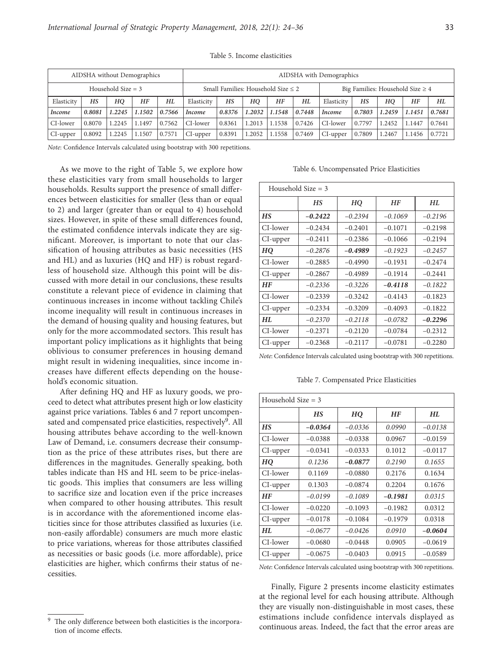| AIDSHA without Demographics |        |        |        |                                         |            | AIDSHA with Demographics |        |                                       |        |               |        |        |        |        |
|-----------------------------|--------|--------|--------|-----------------------------------------|------------|--------------------------|--------|---------------------------------------|--------|---------------|--------|--------|--------|--------|
| Household Size $=$ 3        |        |        |        | Small Families: Household Size $\leq 2$ |            |                          |        | Big Families: Household Size $\geq 4$ |        |               |        |        |        |        |
| Elasticity                  | HS     | HO     | HF     | HL                                      | Elasticity | HS                       | HO     | HF                                    | HL     | Elasticity    | HS     | HО     | HF     | HL     |
| Income                      | 0.8081 | 1.2245 | 1.1502 | 0.7566                                  | Income     | 0.8376                   | 1.2032 | 1.1548                                | 0.7448 | <i>Income</i> | 0.7803 | 1.2459 | 1.1451 | 0.7681 |
| CI-lower                    | 0.8070 | 1.2245 | 1.1497 | 0.7562                                  | CI-lower   | 0.8361                   | 1.2013 | 1.1538                                | 0.7426 | CI-lower      | 0.7797 | 1.2452 | 1.1447 | 0.7641 |
| CI-upper                    | 0.8092 | 1.2245 | 1.1507 | 0.7571                                  | CI-upper   | 0.8391                   | 1.2052 | 1.1558                                | 0.7469 | CI-upper      | 0.7809 | 1.2467 | 1.1456 | 0.7721 |

Table 5. Income elasticities

*Note*: Confidence Intervals calculated using bootstrap with 300 repetitions.

As we move to the right of Table 5, we explore how these elasticities vary from small households to larger households. Results support the presence of small differences between elasticities for smaller (less than or equal to 2) and larger (greater than or equal to 4) household sizes. However, in spite of these small differences found, the estimated confidence intervals indicate they are significant. Moreover, is important to note that our classification of housing attributes as basic necessities (HS and HL) and as luxuries (HQ and HF) is robust regardless of household size. Although this point will be discussed with more detail in our conclusions, these results constitute a relevant piece of evidence in claiming that continuous increases in income without tackling Chile's income inequality will result in continuous increases in the demand of housing quality and housing features, but only for the more accommodated sectors. This result has important policy implications as it highlights that being oblivious to consumer preferences in housing demand might result in widening inequalities, since income increases have different effects depending on the household's economic situation.

After defining HQ and HF as luxury goods, we proceed to detect what attributes present high or low elasticity against price variations. Tables 6 and 7 report uncompensated and compensated price elasticities, respectively<sup>9</sup>. All housing attributes behave according to the well-known Law of Demand, i.e. consumers decrease their consumption as the price of these attributes rises, but there are differences in the magnitudes. Generally speaking, both tables indicate than HS and HL seem to be price-inelastic goods. This implies that consumers are less willing to sacrifice size and location even if the price increases when compared to other housing attributes. This result is in accordance with the aforementioned income elasticities since for those attributes classified as luxuries (i.e. non-easily affordable) consumers are much more elastic to price variations, whereas for those attributes classified as necessities or basic goods (i.e. more affordable), price elasticities are higher, which confirms their status of necessities.

Table 6. Uncompensated Price Elasticities

| Household Size $=$ 3 |                       |           |           |           |  |  |  |  |
|----------------------|-----------------------|-----------|-----------|-----------|--|--|--|--|
|                      | <b>HF</b><br>HS<br>HO |           | HL        |           |  |  |  |  |
| HS                   | $-0.2422$             | $-0.2394$ | $-0.1069$ | $-0.2196$ |  |  |  |  |
| CI-lower             | $-0.2434$             | $-0.2401$ | $-0.1071$ | $-0.2198$ |  |  |  |  |
| CI-upper             | $-0.2411$             | $-0.2386$ | $-0.1066$ | $-0.2194$ |  |  |  |  |
| HO                   | $-0.2876$             | $-0.4989$ | $-0.1923$ | $-0.2457$ |  |  |  |  |
| CI-lower             | $-0.2885$             | $-0.4990$ | $-0.1931$ | $-0.2474$ |  |  |  |  |
| CI-upper             | $-0.2867$             | $-0.4989$ | $-0.1914$ | $-0.2441$ |  |  |  |  |
| HF                   | $-0.2336$             | $-0.3226$ | $-0.4118$ | $-0.1822$ |  |  |  |  |
| CI-lower             | $-0.2339$             | $-0.3242$ | $-0.4143$ | $-0.1823$ |  |  |  |  |
| CI-upper             | $-0.2334$             | $-0.3209$ | $-0.4093$ | $-0.1822$ |  |  |  |  |
| HL                   | $-0.2370$             | $-0.2118$ | $-0.0782$ | $-0.2296$ |  |  |  |  |
| CI-lower             | $-0.2371$             | $-0.2120$ | $-0.0784$ | $-0.2312$ |  |  |  |  |
| CI-upper             | $-0.2368$             | $-0.2117$ | $-0.0781$ | $-0.2280$ |  |  |  |  |

*Note*: Confidence Intervals calculated using bootstrap with 300 repetitions.

Table 7. Compensated Price Elasticities

| Household Size $=$ 3 |           |           |           |           |  |  |  |
|----------------------|-----------|-----------|-----------|-----------|--|--|--|
|                      | <b>HS</b> | HQ        | <b>HF</b> | HL.       |  |  |  |
| <b>HS</b>            | $-0.0364$ | $-0.0336$ | 0.0990    | $-0.0138$ |  |  |  |
| CI-lower             | $-0.0388$ | $-0.0338$ | 0.0967    | $-0.0159$ |  |  |  |
| CI-upper             | $-0.0341$ | $-0.0333$ | 0.1012    | $-0.0117$ |  |  |  |
| HO                   | 0.1236    | $-0.0877$ | 0.2190    | 0.1655    |  |  |  |
| CI-lower             | 0.1169    | $-0.0880$ | 0.2176    | 0.1634    |  |  |  |
| CI-upper             | 0.1303    | $-0.0874$ | 0.2204    | 0.1676    |  |  |  |
| <b>HF</b>            | $-0.0199$ | $-0.1089$ | $-0.1981$ | 0.0315    |  |  |  |
| CI-lower             | $-0.0220$ | $-0.1093$ | $-0.1982$ | 0.0312    |  |  |  |
| CI-upper             | $-0.0178$ | $-0.1084$ | $-0.1979$ | 0.0318    |  |  |  |
| HL                   | $-0.0677$ | $-0.0426$ | 0.0910    | $-0.0604$ |  |  |  |
| CI-lower             | $-0.0680$ | $-0.0448$ | 0.0905    | $-0.0619$ |  |  |  |
| CI-upper             | $-0.0675$ | $-0.0403$ | 0.0915    | $-0.0589$ |  |  |  |

*Note*: Confidence Intervals calculated using bootstrap with 300 repetitions.

Finally, Figure 2 presents income elasticity estimates at the regional level for each housing attribute. Although they are visually non-distinguishable in most cases, these estimations include confidence intervals displayed as continuous areas. Indeed, the fact that the error areas are

The only difference between both elasticities is the incorporation of income effects.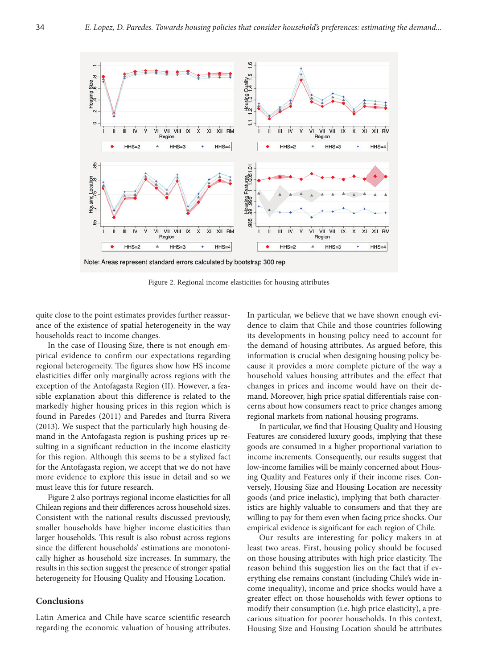

Figure 2. Regional income elasticities for housing attributes

quite close to the point estimates provides further reassurance of the existence of spatial heterogeneity in the way households react to income changes.

In the case of Housing Size, there is not enough empirical evidence to confirm our expectations regarding regional heterogeneity. The figures show how HS income elasticities differ only marginally across regions with the exception of the Antofagasta Region (II). However, a feasible explanation about this difference is related to the markedly higher housing prices in this region which is found in Paredes (2011) and Paredes and Iturra Rivera (2013). We suspect that the particularly high housing demand in the Antofagasta region is pushing prices up resulting in a significant reduction in the income elasticity for this region. Although this seems to be a stylized fact for the Antofagasta region, we accept that we do not have more evidence to explore this issue in detail and so we must leave this for future research.

Figure 2 also portrays regional income elasticities for all Chilean regions and their differences across household sizes. Consistent with the national results discussed previously, smaller households have higher income elasticities than larger households. This result is also robust across regions since the different households' estimations are monotonically higher as household size increases. In summary, the results in this section suggest the presence of stronger spatial heterogeneity for Housing Quality and Housing Location.

# **Conclusions**

Latin America and Chile have scarce scientific research regarding the economic valuation of housing attributes. In particular, we believe that we have shown enough evidence to claim that Chile and those countries following its developments in housing policy need to account for the demand of housing attributes. As argued before, this information is crucial when designing housing policy because it provides a more complete picture of the way a household values housing attributes and the effect that changes in prices and income would have on their demand. Moreover, high price spatial differentials raise concerns about how consumers react to price changes among regional markets from national housing programs.

In particular, we find that Housing Quality and Housing Features are considered luxury goods, implying that these goods are consumed in a higher proportional variation to income increments. Consequently, our results suggest that low-income families will be mainly concerned about Housing Quality and Features only if their income rises. Conversely, Housing Size and Housing Location are necessity goods (and price inelastic), implying that both characteristics are highly valuable to consumers and that they are willing to pay for them even when facing price shocks. Our empirical evidence is significant for each region of Chile.

Our results are interesting for policy makers in at least two areas. First, housing policy should be focused on those housing attributes with high price elasticity. The reason behind this suggestion lies on the fact that if everything else remains constant (including Chile's wide income inequality), income and price shocks would have a greater effect on those households with fewer options to modify their consumption (i.e. high price elasticity), a precarious situation for poorer households. In this context, Housing Size and Housing Location should be attributes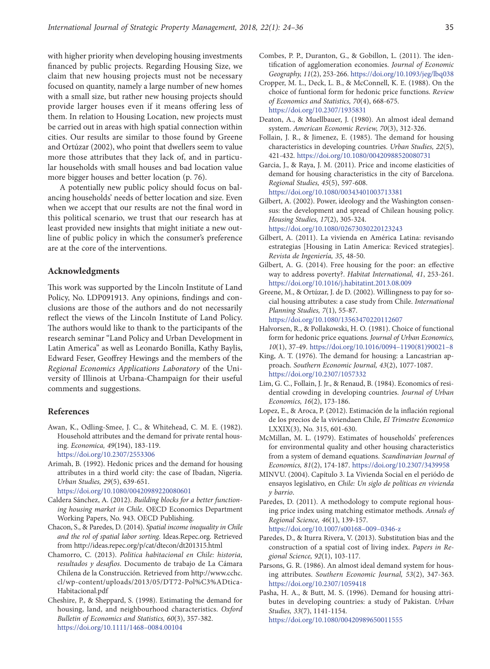with higher priority when developing housing investments financed by public projects. Regarding Housing Size, we claim that new housing projects must not be necessary focused on quantity, namely a large number of new homes with a small size, but rather new housing projects should provide larger houses even if it means offering less of them. In relation to Housing Location, new projects must be carried out in areas with high spatial connection within cities. Our results are similar to those found by Greene and Ortúzar (2002), who point that dwellers seem to value more those attributes that they lack of, and in particular households with small houses and bad location value more bigger houses and better location (p. 76).

A potentially new public policy should focus on balancing households' needs of better location and size. Even when we accept that our results are not the final word in this political scenario, we trust that our research has at least provided new insights that might initiate a new outline of public policy in which the consumer's preference are at the core of the interventions.

# **Acknowledgments**

This work was supported by the Lincoln Institute of Land Policy, No. LDP091913. Any opinions, findings and conclusions are those of the authors and do not necessarily reflect the views of the Lincoln Institute of Land Policy. The authors would like to thank to the participants of the research seminar "Land Policy and Urban Development in Latin America" as well as Leonardo Bonilla, Kathy Baylis, Edward Feser, Geoffrey Hewings and the members of the *Regional Economics Applications Laboratory* of the University of Illinois at Urbana-Champaign for their useful comments and suggestions.

# **References**

- Awan, K., Odling-Smee, J. C., & Whitehead, C. M. E. (1982). Household attributes and the demand for private rental housing. *Economica, 49*(194), 183-119. https://doi.org/10.2307/2553306
- Arimah, B. (1992). Hedonic prices and the demand for housing attributes in a third world city: the case of Ibadan, Nigeria. *Urban Studies, 29*(5), 639-651. https://doi.org/10.1080/00420989220080601
- Caldera Sánchez, A. (2012). *Building blocks for a better function-*
- *ing housing market in Chile*. OECD Economics Department Working Papers, No. 943. OECD Publishing.
- Chacon, S., & Paredes, D. (2014). *Spatial income inequality in Chile and the rol of spatial labor sorting*. Ideas.Repec.org. Retrieved from http://ideas.repec.org/p/cat/dtecon/dt201315.html
- Chamorro, C. (2013). *Politica habitacional en Chile: historia, resultados y desaf*í*os*. Documento de trabajo de La Cámara Chilena de la Construcción. Retrieved from http://www.cchc. cl/wp-content/uploads/2013/05/DT72-Pol%C3%ADtica-Habitacional.pdf
- Cheshire, P., & Sheppard, S. (1998). Estimating the demand for housing, land, and neighbourhood characteristics. *Oxford Bulletin of Economics and Statistics, 60*(3), 357-382. https://doi.org/10.1111/1468–0084.00104
- Combes, P. P., Duranton, G., & Gobillon, L. (2011). The identification of agglomeration economies. *Journal of Economic Geography, 11*(2), 253-266. https://doi.org/10.1093/jeg/lbq038
- Cropper, M. L., Deck, L. B., & McConnell, K. E. (1988). On the choice of funtional form for hedonic price functions. *Review of Economics and Statistics, 70*(4), 668-675. https://doi.org/10.2307/1935831
- Deaton, A., & Muellbauer, J. (1980). An almost ideal demand system. *American Economic Review, 70*(3), 312-326.
- Follain, J. R., & Jimenez, E. (1985). The demand for housing characteristics in developing countries. *Urban Studies, 22*(5), 421-432. https://doi.org/10.1080/00420988520080731
- Garcia, J., & Raya, J. M. (2011). Price and income elasticities of demand for housing characteristics in the city of Barcelona. *Regional Studies, 45*(5), 597-608. https://doi.org/10.1080/00343401003713381
- Gilbert, A. (2002). Power, ideology and the Washington consensus: the development and spread of Chilean housing policy. *Housing Studies, 17*(2), 305-324.

https://doi.org/10.1080/02673030220123243

- Gilbert, A. (2011). La vivienda en América Latina: revisando estrategias [Housing in Latin America: Reviced strategies]. *Revista de Ingeniería, 35*, 48-50.
- Gilbert, A. G. (2014). Free housing for the poor: an effective way to address poverty?. *Habitat International, 41*, 253-261. https://doi.org/10.1016/j.habitatint.2013.08.009
- Greene, M., & Ortúzar, J. de D. (2002). Willingness to pay for social housing attributes: a case study from Chile. *International Planning Studies, 7*(1), 55-87.

https://doi.org/10.1080/13563470220112607

- Halvorsen, R., & Pollakowski, H. O. (1981). Choice of functional form for hedonic price equations. *Journal of Urban Economics, 10*(1), 37-49. https://doi.org/10.1016/0094–1190(81)90021–8
- King, A. T. (1976). The demand for housing: a Lancastrian approach. *Southern Economic Journal, 43*(2), 1077-1087. https://doi.org/10.2307/1057332
- Lim, G. C., Follain, J. Jr., & Renaud, B. (1984). Economics of residential crowding in developing countries. *Journal of Urban Economics, 16*(2), 173-186.
- Lopez, E., & Aroca, P. (2012). Estimación de la inflación regional de los precios de la viviendaen Chile, *El Trimestre Economico* LXXIX(3), No. 315, 601-630.
- McMillan, M. L. (1979). Estimates of households' preferences for environmental quality and other housing characteristics from a system of demand equations. *Scandinavian Journal of Economics, 81*(2), 174-187. https://doi.org/10.2307/3439958
- MINVU. (2004). Capítulo 3. La Vivienda Social en el periódo de ensayos legislativo, en *Chile: Un siglo de políticas en vivienda y barrio*.
- Paredes, D. (2011). A methodology to compute regional housing price index using matching estimator methods. *Annals of Regional Science, 46*(1), 139-157.

https://doi.org/10.1007/s00168–009–0346-z

- Paredes, D., & Iturra Rivera, V. (2013). Substitution bias and the construction of a spatial cost of living index. *Papers in Regional Science, 92*(1), 103-117.
- Parsons, G. R. (1986). An almost ideal demand system for housing attributes. *Southern Economic Journal, 53*(2), 347-363. https://doi.org/10.2307/1059418
- Pasha, H. A., & Butt, M. S. (1996). Demand for housing attributes in developing countries: a study of Pakistan. *Urban Studies, 33*(7), 1141-1154. https://doi.org/10.1080/00420989650011555